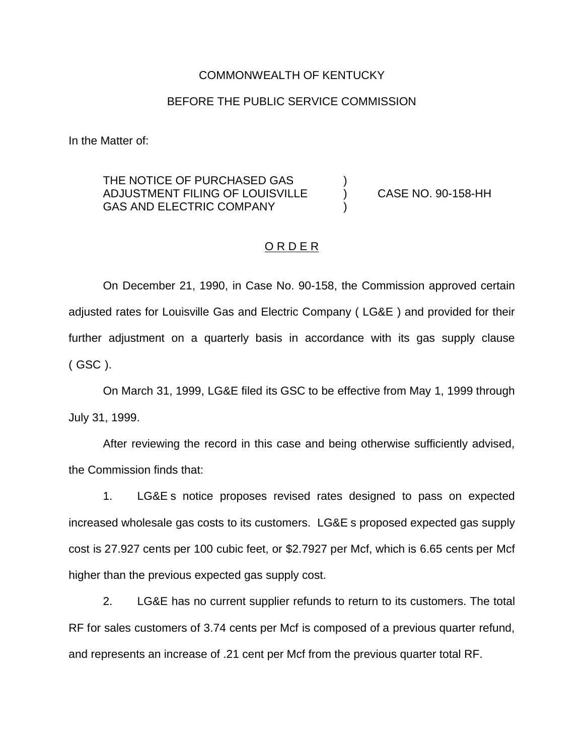#### COMMONWEALTH OF KENTUCKY

### BEFORE THE PUBLIC SERVICE COMMISSION

In the Matter of:

# THE NOTICE OF PURCHASED GAS ADJUSTMENT FILING OF LOUISVILLE ) CASE NO. 90-158-HH GAS AND ELECTRIC COMPANY

#### ORDER

On December 21, 1990, in Case No. 90-158, the Commission approved certain adjusted rates for Louisville Gas and Electric Company ( LG&E ) and provided for their further adjustment on a quarterly basis in accordance with its gas supply clause ( GSC ).

On March 31, 1999, LG&E filed its GSC to be effective from May 1, 1999 through July 31, 1999.

After reviewing the record in this case and being otherwise sufficiently advised, the Commission finds that:

1. LG&E s notice proposes revised rates designed to pass on expected increased wholesale gas costs to its customers. LG&E s proposed expected gas supply cost is 27.927 cents per 100 cubic feet, or \$2.7927 per Mcf, which is 6.65 cents per Mcf higher than the previous expected gas supply cost.

2. LG&E has no current supplier refunds to return to its customers. The total RF for sales customers of 3.74 cents per Mcf is composed of a previous quarter refund, and represents an increase of .21 cent per Mcf from the previous quarter total RF.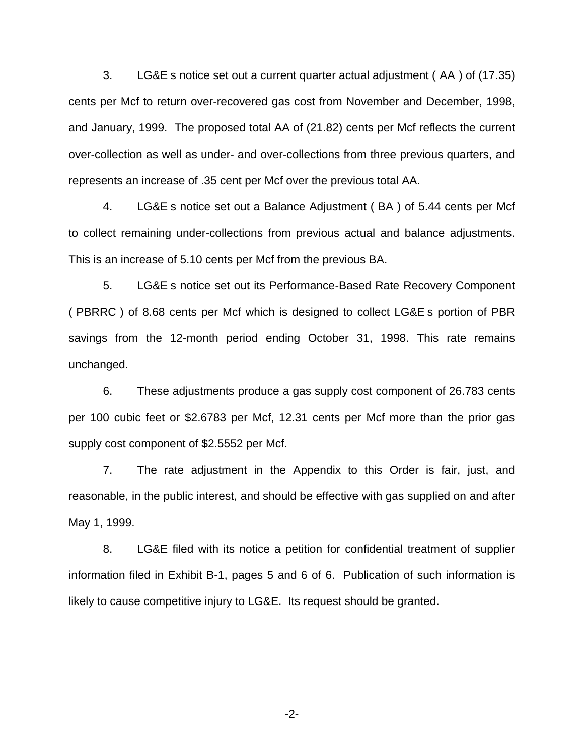3. LG&E s notice set out a current quarter actual adjustment ( AA ) of (17.35) cents per Mcf to return over-recovered gas cost from November and December, 1998, and January, 1999. The proposed total AA of (21.82) cents per Mcf reflects the current over-collection as well as under- and over-collections from three previous quarters, and represents an increase of .35 cent per Mcf over the previous total AA.

4. LG&E s notice set out a Balance Adjustment ( BA ) of 5.44 cents per Mcf to collect remaining under-collections from previous actual and balance adjustments. This is an increase of 5.10 cents per Mcf from the previous BA.

5. LG&E s notice set out its Performance-Based Rate Recovery Component ( PBRRC ) of 8.68 cents per Mcf which is designed to collect LG&E s portion of PBR savings from the 12-month period ending October 31, 1998. This rate remains unchanged.

6. These adjustments produce a gas supply cost component of 26.783 cents per 100 cubic feet or \$2.6783 per Mcf, 12.31 cents per Mcf more than the prior gas supply cost component of \$2.5552 per Mcf.

7. The rate adjustment in the Appendix to this Order is fair, just, and reasonable, in the public interest, and should be effective with gas supplied on and after May 1, 1999.

8. LG&E filed with its notice a petition for confidential treatment of supplier information filed in Exhibit B-1, pages 5 and 6 of 6. Publication of such information is likely to cause competitive injury to LG&E. Its request should be granted.

-2-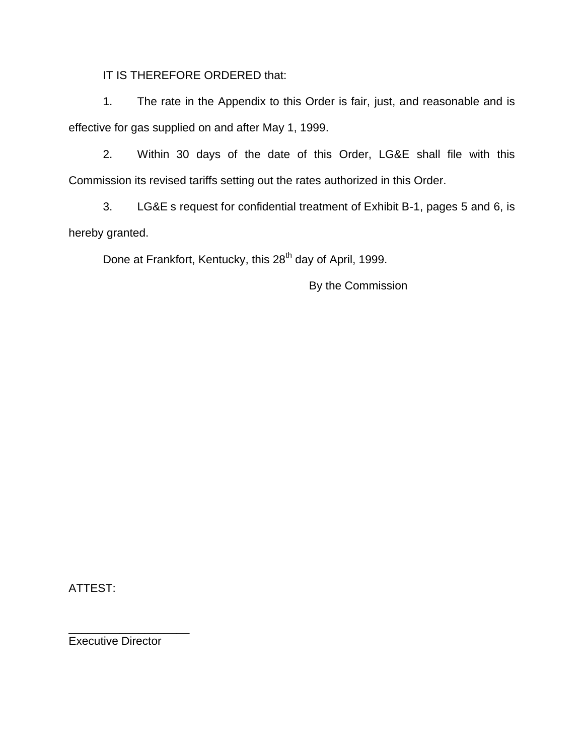IT IS THEREFORE ORDERED that:

1. The rate in the Appendix to this Order is fair, just, and reasonable and is effective for gas supplied on and after May 1, 1999.

2. Within 30 days of the date of this Order, LG&E shall file with this Commission its revised tariffs setting out the rates authorized in this Order.

3. LG&E s request for confidential treatment of Exhibit B-1, pages 5 and 6, is hereby granted.

Done at Frankfort, Kentucky, this 28<sup>th</sup> day of April, 1999.

By the Commission

ATTEST:

Executive Director

\_\_\_\_\_\_\_\_\_\_\_\_\_\_\_\_\_\_\_